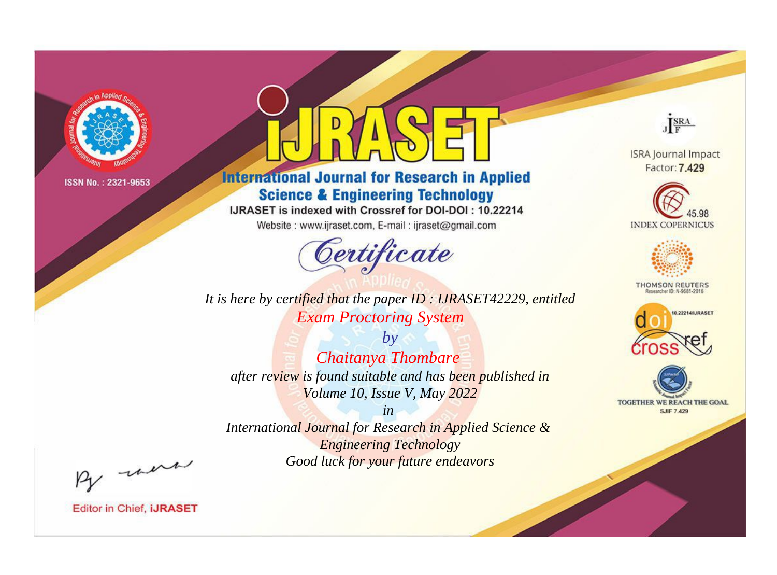

# **International Journal for Research in Applied Science & Engineering Technology**

IJRASET is indexed with Crossref for DOI-DOI: 10.22214

Website: www.ijraset.com, E-mail: ijraset@gmail.com



**ISRA Journal Impact** Factor: 7.429

JERA





**THOMSON REUTERS** 



TOGETHER WE REACH THE GOAL **SJIF 7.429** 

*It is here by certified that the paper ID : IJRASET42229, entitled Exam Proctoring System*

*by Chaitanya Thombare after review is found suitable and has been published in Volume 10, Issue V, May 2022*

*in International Journal for Research in Applied Science &* 

*Engineering Technology Good luck for your future endeavors*

By morn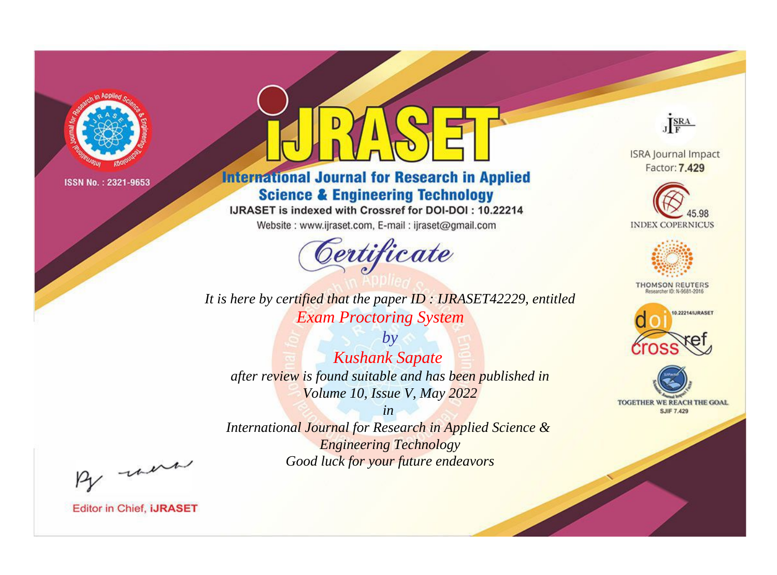

# **International Journal for Research in Applied Science & Engineering Technology**

IJRASET is indexed with Crossref for DOI-DOI: 10.22214

Website: www.ijraset.com, E-mail: ijraset@gmail.com



It is here by certified that the paper ID: IJRASET42229, entitled **Exam Proctoring System** 

 $by$ **Kushank Sapate** after review is found suitable and has been published in Volume 10, Issue V, May 2022

 $in$ International Journal for Research in Applied Science & **Engineering Technology** Good luck for your future endeavors



**ISRA Journal Impact** Factor: 7.429





**THOMSON REUTERS** 



TOGETHER WE REACH THE GOAL **SJIF 7.429** 

By morn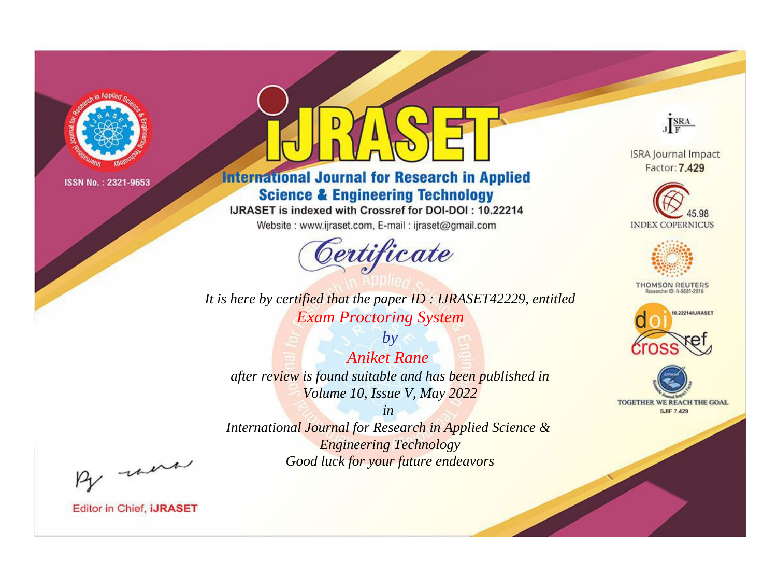

# **International Journal for Research in Applied Science & Engineering Technology**

IJRASET is indexed with Crossref for DOI-DOI: 10.22214

Website: www.ijraset.com, E-mail: ijraset@gmail.com



It is here by certified that the paper ID: IJRASET42229, entitled **Exam Proctoring System** 

 $by$ **Aniket Rane** after review is found suitable and has been published in Volume 10, Issue V, May 2022

 $in$ International Journal for Research in Applied Science & **Engineering Technology** Good luck for your future endeavors



**ISRA Journal Impact** Factor: 7.429





**THOMSON REUTERS** 



TOGETHER WE REACH THE GOAL **SJIF 7.429** 

By morn